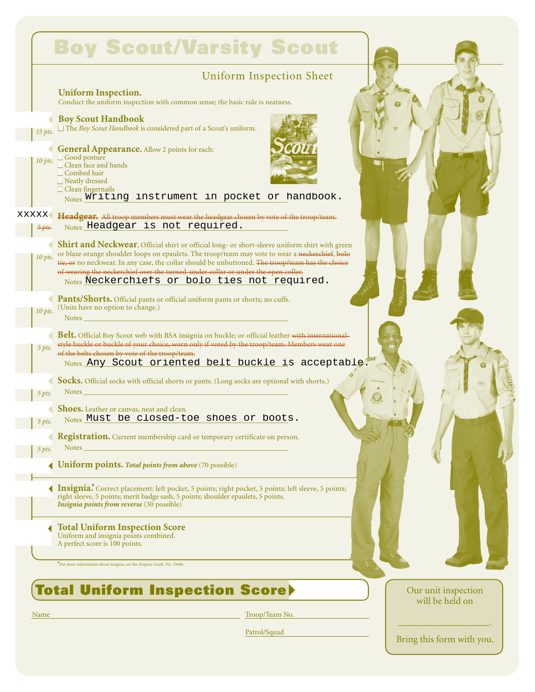|                          | <b>Boy Scout/Varsity Scout</b>                                                                                                                                                                                                                                                                                                                                                            |                                        |
|--------------------------|-------------------------------------------------------------------------------------------------------------------------------------------------------------------------------------------------------------------------------------------------------------------------------------------------------------------------------------------------------------------------------------------|----------------------------------------|
|                          | <b>Uniform Inspection Sheet</b>                                                                                                                                                                                                                                                                                                                                                           |                                        |
|                          | <b>Uniform Inspection.</b><br>Conduct the uniform inspection with common sense; the basic rule is neatness.                                                                                                                                                                                                                                                                               |                                        |
| $15$ pts.                | <b>Boy Scout Handbook</b><br>$\Box$ The <i>Boy Scout Handbook</i> is considered part of a Scout's uniform.                                                                                                                                                                                                                                                                                |                                        |
| $10$ pts.                | <b>General Appearance.</b> Allow 2 points for each:<br>$\Box$ Good posture<br>$\Box$ Clean face and hands<br>$\Box$ Combed hair<br>$\Box$ Neatly dressed<br>$\Box$ Clean fingernails<br>Notes Writing instrument in pocket or handbook.                                                                                                                                                   |                                        |
| <b>XXXXX</b><br>$5$ pts. | Headgear. All troop members must wear the headgear chosen by vote of the troop/team.<br>Notes Headgear is not required.                                                                                                                                                                                                                                                                   |                                        |
| $10$ pts.                | Shirt and Neckwear. Official shirt or official long- or short-sleeve uniform shirt with green<br>or blaze orange shoulder loops on epaulets. The troop/team may vote to wear a neckerchief, bolo<br>tie, or no neckwear. In any case, the collar should be unbuttoned. The troop/team has the choice<br>of wearing the neckerchief over the turned-under collar or under the open collar. |                                        |
| $10$ pts.                | Notes Neckerchiefs or bolo ties not required.<br>Pants/Shorts. Official pants or official uniform pants or shorts; no cuffs.<br>(Units have no option to change.)<br>Notes                                                                                                                                                                                                                |                                        |
| 5 pts.                   | Belt. Official Boy Scout web with BSA insignia on buckle; or official leather with international-<br>style buckle or buckle of your choice, worn only if voted by the troop/team. Members wear one<br>of the belts chosen by vote of the troop/team.<br>Notes Any Scout oriented belt buckle is acceptable.                                                                               |                                        |
| 5 pts.                   | Socks. Official socks with official shorts or pants. (Long socks are optional with shorts.)<br><b>Notes</b>                                                                                                                                                                                                                                                                               |                                        |
| $\frac{5}{2}$ 5 pts.     | Shoes. Leather or canvas, neat and clean.<br>Notes Must be closed-toe shoes or boots.                                                                                                                                                                                                                                                                                                     |                                        |
| 5 pts.                   | <b>Registration.</b> Current membership card or temporary certificate on person.<br>Notes                                                                                                                                                                                                                                                                                                 |                                        |
|                          | <b>Uniform points. Total points from above (70 possible)</b>                                                                                                                                                                                                                                                                                                                              |                                        |
|                          | <b>Insignia.</b> Correct placement: left pocket, 5 points; right pocket, 5 points; left sleeve, 5 points;<br>right sleeve, 5 points; merit badge sash, 5 points; shoulder epaulets, 5 points.<br><i>Insignia points from reverse</i> (30 possible)                                                                                                                                        |                                        |
|                          | <b>Total Uniform Inspection Score</b><br>Uniform and insignia points combined.<br>A perfect score is 100 points.                                                                                                                                                                                                                                                                          |                                        |
|                          | *For more information about insignia, see the Insignia Guide, No. 33066.                                                                                                                                                                                                                                                                                                                  |                                        |
|                          | <b>Total Uniform Inspection Score&gt;</b>                                                                                                                                                                                                                                                                                                                                                 | Our unit inspection<br>will be held on |
| Name                     | Troop/Team No.                                                                                                                                                                                                                                                                                                                                                                            |                                        |

Patrol/Squad

 $\_$ Bring this form with you.